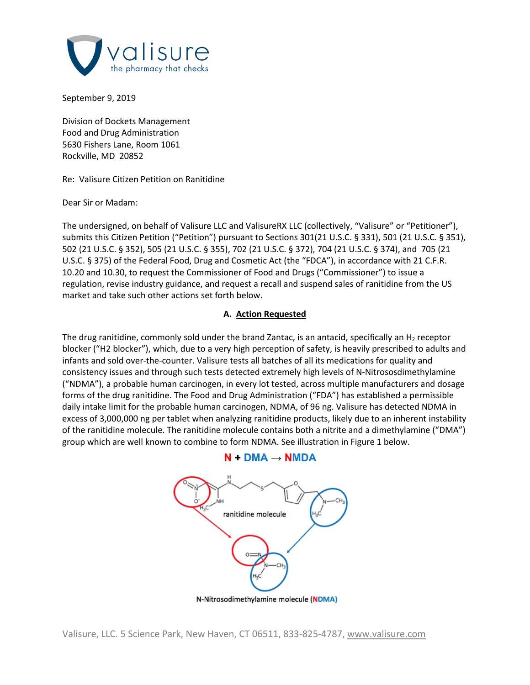

September 9, 2019

Division of Dockets Management Food and Drug Administration 5630 Fishers Lane, Room 1061 Rockville, MD 20852

Re: Valisure Citizen Petition on Ranitidine

Dear Sir or Madam:

The undersigned, on behalf of Valisure LLC and ValisureRX LLC (collectively, "Valisure" or "Petitioner"), submits this Citizen Petition ("Petition") pursuant to Sections 301(21 U.S.C. § 331), 501 (21 U.S.C. § 351), 502 (21 U.S.C. § 352), 505 (21 U.S.C. § 355), 702 (21 U.S.C. § 372), 704 (21 U.S.C. § 374), and 705 (21 U.S.C. § 375) of the Federal Food, Drug and Cosmetic Act (the "FDCA"), in accordance with 21 C.F.R. 10.20 and 10.30, to request the Commissioner of Food and Drugs ("Commissioner") to issue a regulation, revise industry guidance, and request a recall and suspend sales of ranitidine from the US market and take such other actions set forth below.

## **A. Action Requested**

The drug ranitidine, commonly sold under the brand Zantac, is an antacid, specifically an  $H_2$  receptor blocker ("H2 blocker"), which, due to a very high perception of safety, is heavily prescribed to adults and infants and sold over-the-counter. Valisure tests all batches of all its medications for quality and consistency issues and through such tests detected extremely high levels of N-Nitrososdimethylamine ("NDMA"), a probable human carcinogen, in every lot tested, across multiple manufacturers and dosage forms of the drug ranitidine. The Food and Drug Administration ("FDA") has established a permissible daily intake limit for the probable human carcinogen, NDMA, of 96 ng. Valisure has detected NDMA in excess of 3,000,000 ng per tablet when analyzing ranitidine products, likely due to an inherent instability of the ranitidine molecule. The ranitidine molecule contains both a nitrite and a dimethylamine ("DMA") group which are well known to combine to form NDMA. See illustration in Figure 1 below.



## $N + DMA \rightarrow NMDA$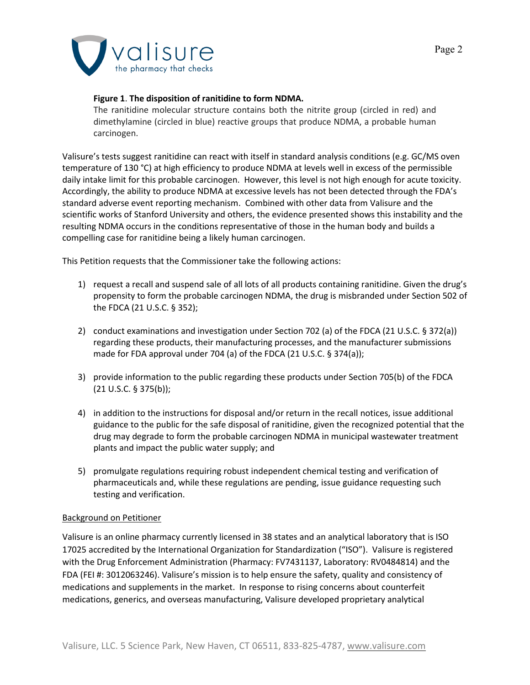

## **Figure 1**. **The disposition of ranitidine to form NDMA.**

The ranitidine molecular structure contains both the nitrite group (circled in red) and dimethylamine (circled in blue) reactive groups that produce NDMA, a probable human carcinogen.

Valisure's tests suggest ranitidine can react with itself in standard analysis conditions (e.g. GC/MS oven temperature of 130 °C) at high efficiency to produce NDMA at levels well in excess of the permissible daily intake limit for this probable carcinogen. However, this level is not high enough for acute toxicity. Accordingly, the ability to produce NDMA at excessive levels has not been detected through the FDA's standard adverse event reporting mechanism. Combined with other data from Valisure and the scientific works of Stanford University and others, the evidence presented shows this instability and the resulting NDMA occurs in the conditions representative of those in the human body and builds a compelling case for ranitidine being a likely human carcinogen.

This Petition requests that the Commissioner take the following actions:

- 1) request a recall and suspend sale of all lots of all products containing ranitidine. Given the drug's propensity to form the probable carcinogen NDMA, the drug is misbranded under Section 502 of the FDCA (21 U.S.C. § 352);
- 2) conduct examinations and investigation under Section 702 (a) of the FDCA (21 U.S.C. § 372(a)) regarding these products, their manufacturing processes, and the manufacturer submissions made for FDA approval under 704 (a) of the FDCA (21 U.S.C. § 374(a));
- 3) provide information to the public regarding these products under Section 705(b) of the FDCA (21 U.S.C. § 375(b));
- 4) in addition to the instructions for disposal and/or return in the recall notices, issue additional guidance to the public for the safe disposal of ranitidine, given the recognized potential that the drug may degrade to form the probable carcinogen NDMA in municipal wastewater treatment plants and impact the public water supply; and
- 5) promulgate regulations requiring robust independent chemical testing and verification of pharmaceuticals and, while these regulations are pending, issue guidance requesting such testing and verification.

## Background on Petitioner

Valisure is an online pharmacy currently licensed in 38 states and an analytical laboratory that is ISO 17025 accredited by the International Organization for Standardization ("ISO"). Valisure is registered with the Drug Enforcement Administration (Pharmacy: FV7431137, Laboratory: RV0484814) and the FDA (FEI #: 3012063246). Valisure's mission is to help ensure the safety, quality and consistency of medications and supplements in the market. In response to rising concerns about counterfeit medications, generics, and overseas manufacturing, Valisure developed proprietary analytical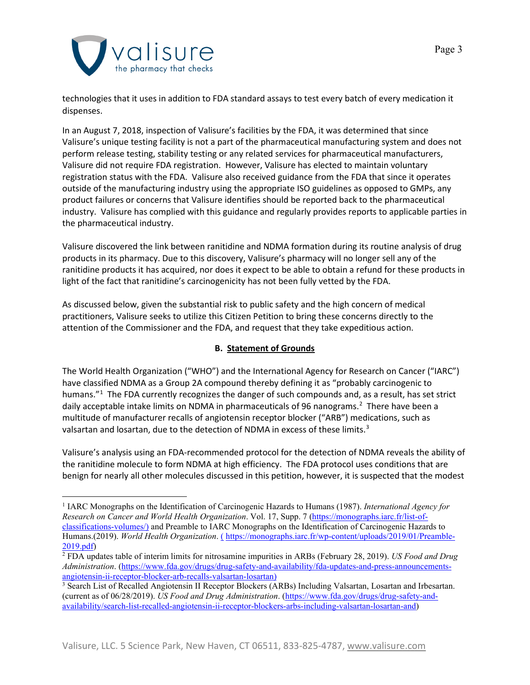

technologies that it uses in addition to FDA standard assays to test every batch of every medication it dispenses.

In an August 7, 2018, inspection of Valisure's facilities by the FDA, it was determined that since Valisure's unique testing facility is not a part of the pharmaceutical manufacturing system and does not perform release testing, stability testing or any related services for pharmaceutical manufacturers, Valisure did not require FDA registration. However, Valisure has elected to maintain voluntary registration status with the FDA. Valisure also received guidance from the FDA that since it operates outside of the manufacturing industry using the appropriate ISO guidelines as opposed to GMPs, any product failures or concerns that Valisure identifies should be reported back to the pharmaceutical industry. Valisure has complied with this guidance and regularly provides reports to applicable parties in the pharmaceutical industry.

Valisure discovered the link between ranitidine and NDMA formation during its routine analysis of drug products in its pharmacy. Due to this discovery, Valisure's pharmacy will no longer sell any of the ranitidine products it has acquired, nor does it expect to be able to obtain a refund for these products in light of the fact that ranitidine's carcinogenicity has not been fully vetted by the FDA.

As discussed below, given the substantial risk to public safety and the high concern of medical practitioners, Valisure seeks to utilize this Citizen Petition to bring these concerns directly to the attention of the Commissioner and the FDA, and request that they take expeditious action.

# **B. Statement of Grounds**

The World Health Organization ("WHO") and the International Agency for Research on Cancer ("IARC") have classified NDMA as a Group 2A compound thereby defining it as "probably carcinogenic to humans."<sup>[1](#page-2-0)</sup> The FDA currently recognizes the danger of such compounds and, as a result, has set strict daily acceptable intake limits on NDMA in pharmaceuticals of 96 nanograms. [2](#page-2-1) There have been a multitude of manufacturer recalls of angiotensin receptor blocker ("ARB") medications, such as valsartan and losartan, due to the detection of NDMA in excess of these limits.<sup>[3](#page-2-2)</sup>

Valisure's analysis using an FDA-recommended protocol for the detection of NDMA reveals the ability of the ranitidine molecule to form NDMA at high efficiency. The FDA protocol uses conditions that are benign for nearly all other molecules discussed in this petition, however, it is suspected that the modest

<span id="page-2-0"></span><sup>1</sup> IARC Monographs on the Identification of Carcinogenic Hazards to Humans (1987). *International Agency for Research on Cancer and World Health Organization*. Vol. 17, Supp. 7 [\(https://monographs.iarc.fr/list-of](https://monographs.iarc.fr/list-of-classifications-volumes/)[classifications-volumes/\)](https://monographs.iarc.fr/list-of-classifications-volumes/) and Preamble to IARC Monographs on the Identification of Carcinogenic Hazards to Humans.(2019). *World Health Organization*. ( [https://monographs.iarc.fr/wp-content/uploads/2019/01/Preamble-](https://monographs.iarc.fr/wp-content/uploads/2019/01/Preamble-2019.pdf)[2019.pdf\)](https://monographs.iarc.fr/wp-content/uploads/2019/01/Preamble-2019.pdf)

<span id="page-2-1"></span><sup>2</sup> FDA updates table of interim limits for nitrosamine impurities in ARBs (February 28, 2019). *US Food and Drug Administration*. [\(https://www.fda.gov/drugs/drug-safety-and-availability/fda-updates-and-press-announcements](https://www.fda.gov/drugs/drug-safety-and-availability/fda-updates-and-press-announcements-angiotensin-ii-receptor-blocker-arb-recalls-valsartan-losartan)[angiotensin-ii-receptor-blocker-arb-recalls-valsartan-losartan\)](https://www.fda.gov/drugs/drug-safety-and-availability/fda-updates-and-press-announcements-angiotensin-ii-receptor-blocker-arb-recalls-valsartan-losartan)

<span id="page-2-2"></span><sup>&</sup>lt;sup>3</sup> Search List of Recalled Angiotensin II Receptor Blockers (ARBs) Including Valsartan, Losartan and Irbesartan. (current as of 06/28/2019). *US Food and Drug Administration*. [\(https://www.fda.gov/drugs/drug-safety-and](https://www.fda.gov/drugs/drug-safety-and-availability/search-list-recalled-angiotensin-ii-receptor-blockers-arbs-including-valsartan-losartan-and)[availability/search-list-recalled-angiotensin-ii-receptor-blockers-arbs-including-valsartan-losartan-and\)](https://www.fda.gov/drugs/drug-safety-and-availability/search-list-recalled-angiotensin-ii-receptor-blockers-arbs-including-valsartan-losartan-and)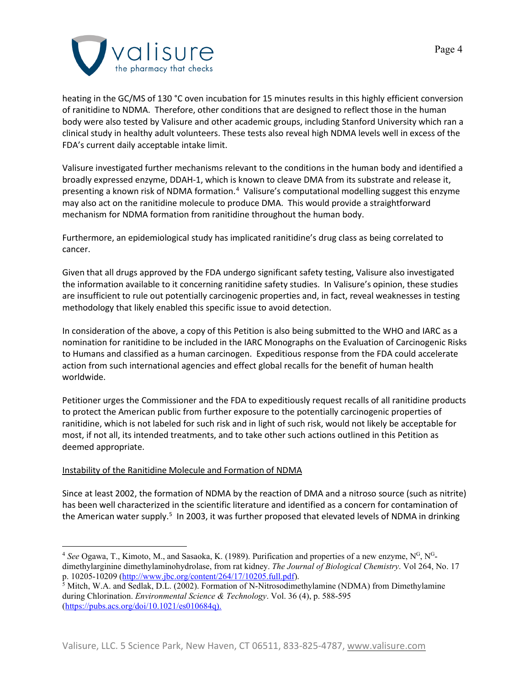

heating in the GC/MS of 130 °C oven incubation for 15 minutes results in this highly efficient conversion of ranitidine to NDMA. Therefore, other conditions that are designed to reflect those in the human body were also tested by Valisure and other academic groups, including Stanford University which ran a clinical study in healthy adult volunteers. These tests also reveal high NDMA levels well in excess of the FDA's current daily acceptable intake limit.

Valisure investigated further mechanisms relevant to the conditions in the human body and identified a broadly expressed enzyme, DDAH-1, which is known to cleave DMA from its substrate and release it, presenting a known risk of NDMA formation.<sup>[4](#page-3-0)</sup> Valisure's computational modelling suggest this enzyme may also act on the ranitidine molecule to produce DMA. This would provide a straightforward mechanism for NDMA formation from ranitidine throughout the human body.

Furthermore, an epidemiological study has implicated ranitidine's drug class as being correlated to cancer.

Given that all drugs approved by the FDA undergo significant safety testing, Valisure also investigated the information available to it concerning ranitidine safety studies. In Valisure's opinion, these studies are insufficient to rule out potentially carcinogenic properties and, in fact, reveal weaknesses in testing methodology that likely enabled this specific issue to avoid detection.

In consideration of the above, a copy of this Petition is also being submitted to the WHO and IARC as a nomination for ranitidine to be included in the IARC Monographs on the Evaluation of Carcinogenic Risks to Humans and classified as a human carcinogen. Expeditious response from the FDA could accelerate action from such international agencies and effect global recalls for the benefit of human health worldwide.

Petitioner urges the Commissioner and the FDA to expeditiously request recalls of all ranitidine products to protect the American public from further exposure to the potentially carcinogenic properties of ranitidine, which is not labeled for such risk and in light of such risk, would not likely be acceptable for most, if not all, its intended treatments, and to take other such actions outlined in this Petition as deemed appropriate.

## Instability of the Ranitidine Molecule and Formation of NDMA

Since at least 2002, the formation of NDMA by the reaction of DMA and a nitroso source (such as nitrite) has been well characterized in the scientific literature and identified as a concern for contamination of the American water supply.<sup>[5](#page-3-1)</sup> In 2003, it was further proposed that elevated levels of NDMA in drinking

<span id="page-3-0"></span><sup>&</sup>lt;sup>4</sup> See Ogawa, T., Kimoto, M., and Sasaoka, K. (1989). Purification and properties of a new enzyme, N<sup>G</sup>, N<sup>G</sup>dimethylarginine dimethylaminohydrolase, from rat kidney. *The Journal of Biological Chemistry*. Vol 264, No. 17 p. 10205-10209 [\(http://www.jbc.org/content/264/17/10205.full.pdf\)](http://www.jbc.org/content/264/17/10205.full.pdf).

<span id="page-3-1"></span><sup>&</sup>lt;sup>5</sup> Mitch, W.A. and Sedlak, D.L. (2002). Formation of N-Nitrosodimethylamine (NDMA) from Dimethylamine during Chlorination. *Environmental Science & Technology*. Vol. 36 (4), p. 588-595 [\(https://pubs.acs.org/doi/10.1021/es010684q\)](https://pubs.acs.org/doi/10.1021/es010684q).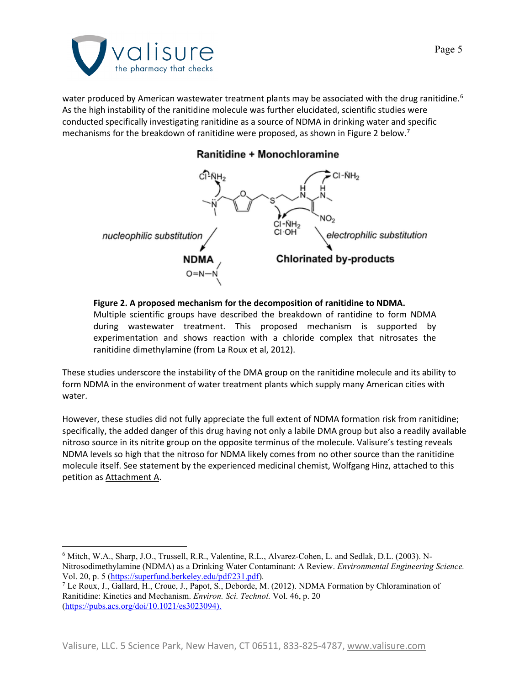

water produced by American wastewater treatment plants may be associated with the drug ranitidine.<sup>[6](#page-4-0)</sup> As the high instability of the ranitidine molecule was further elucidated, scientific studies were conducted specifically investigating ranitidine as a source of NDMA in drinking water and specific mechanisms for the breakdown of ranitidine were proposed, as shown in Figure 2 below.<sup>[7](#page-4-1)</sup>



# Ranitidine + Monochloramine

#### **Figure 2. A proposed mechanism for the decomposition of ranitidine to NDMA.**

Multiple scientific groups have described the breakdown of rantidine to form NDMA during wastewater treatment. This proposed mechanism is supported by experimentation and shows reaction with a chloride complex that nitrosates the ranitidine dimethylamine (from La Roux et al, 2012).

These studies underscore the instability of the DMA group on the ranitidine molecule and its ability to form NDMA in the environment of water treatment plants which supply many American cities with water.

However, these studies did not fully appreciate the full extent of NDMA formation risk from ranitidine; specifically, the added danger of this drug having not only a labile DMA group but also a readily available nitroso source in its nitrite group on the opposite terminus of the molecule. Valisure's testing reveals NDMA levels so high that the nitroso for NDMA likely comes from no other source than the ranitidine molecule itself. See statement by the experienced medicinal chemist, Wolfgang Hinz, attached to this petition as Attachment A.

<span id="page-4-0"></span><sup>6</sup> Mitch, W.A., Sharp, J.O., Trussell, R.R., Valentine, R.L., Alvarez-Cohen, L. and Sedlak, D.L. (2003). N-Nitrosodimethylamine (NDMA) as a Drinking Water Contaminant: A Review. *Environmental Engineering Science.*  Vol. 20, p. 5 [\(https://superfund.berkeley.edu/pdf/231.pdf\)](https://superfund.berkeley.edu/pdf/231.pdf).

<span id="page-4-1"></span><sup>7</sup> Le Roux, J., Gallard, H., Croue, J., Papot, S., Deborde, M. (2012). NDMA Formation by Chloramination of Ranitidine: Kinetics and Mechanism. *Environ. Sci. Technol.* Vol. 46, p. 20 [\(https://pubs.acs.org/doi/10.1021/es3023094\)](https://pubs.acs.org/doi/10.1021/es3023094).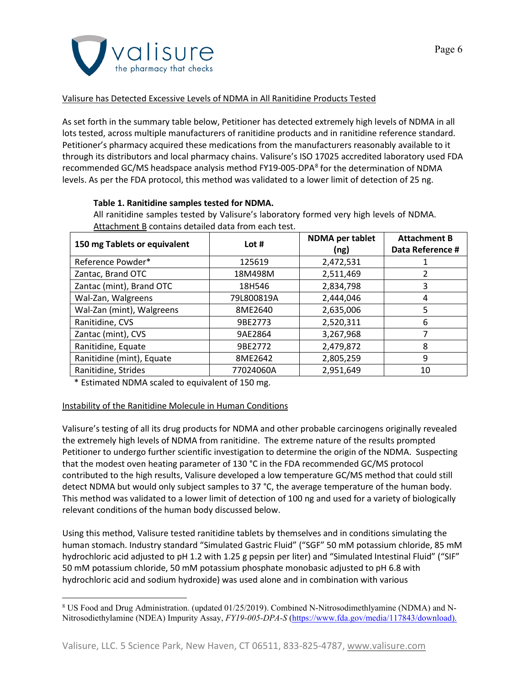

## Valisure has Detected Excessive Levels of NDMA in All Ranitidine Products Tested

As set forth in the summary table below, Petitioner has detected extremely high levels of NDMA in all lots tested, across multiple manufacturers of ranitidine products and in ranitidine reference standard. Petitioner's pharmacy acquired these medications from the manufacturers reasonably available to it through its distributors and local pharmacy chains. Valisure's ISO 17025 accredited laboratory used FDA recommended GC/MS headspace analysis method FY19-005-DPA<sup>[8](#page-5-0)</sup> for the determination of NDMA levels. As per the FDA protocol, this method was validated to a lower limit of detection of 25 ng.

## **Table 1. Ranitidine samples tested for NDMA.**

All ranitidine samples tested by Valisure's laboratory formed very high levels of NDMA. Attachment B contains detailed data from each test.

| 150 mg Tablets or equivalent | Lot#       | <b>NDMA</b> per tablet<br>(ng) | <b>Attachment B</b><br>Data Reference # |
|------------------------------|------------|--------------------------------|-----------------------------------------|
| Reference Powder*            | 125619     | 2,472,531                      |                                         |
| Zantac, Brand OTC            | 18M498M    | 2,511,469                      |                                         |
| Zantac (mint), Brand OTC     | 18H546     | 2,834,798                      | 3                                       |
| Wal-Zan, Walgreens           | 79L800819A | 2,444,046                      | 4                                       |
| Wal-Zan (mint), Walgreens    | 8ME2640    | 2,635,006                      | 5.                                      |
| Ranitidine, CVS              | 9BE2773    | 2,520,311                      | 6                                       |
| Zantac (mint), CVS           | 9AE2864    | 3,267,968                      |                                         |
| Ranitidine, Equate           | 9BE2772    | 2,479,872                      | 8                                       |
| Ranitidine (mint), Equate    | 8ME2642    | 2,805,259                      | 9                                       |
| Ranitidine, Strides          | 77024060A  | 2,951,649                      | 10                                      |

\* Estimated NDMA scaled to equivalent of 150 mg.

## Instability of the Ranitidine Molecule in Human Conditions

Valisure's testing of all its drug products for NDMA and other probable carcinogens originally revealed the extremely high levels of NDMA from ranitidine. The extreme nature of the results prompted Petitioner to undergo further scientific investigation to determine the origin of the NDMA. Suspecting that the modest oven heating parameter of 130 °C in the FDA recommended GC/MS protocol contributed to the high results, Valisure developed a low temperature GC/MS method that could still detect NDMA but would only subject samples to 37 °C, the average temperature of the human body. This method was validated to a lower limit of detection of 100 ng and used for a variety of biologically relevant conditions of the human body discussed below.

Using this method, Valisure tested ranitidine tablets by themselves and in conditions simulating the human stomach. Industry standard "Simulated Gastric Fluid" ("SGF" 50 mM potassium chloride, 85 mM hydrochloric acid adjusted to pH 1.2 with 1.25 g pepsin per liter) and "Simulated Intestinal Fluid" ("SIF" 50 mM potassium chloride, 50 mM potassium phosphate monobasic adjusted to pH 6.8 with hydrochloric acid and sodium hydroxide) was used alone and in combination with various

<span id="page-5-0"></span><sup>8</sup> US Food and Drug Administration. (updated 01/25/2019). Combined N-Nitrosodimethlyamine (NDMA) and N-Nitrosodiethylamine (NDEA) Impurity Assay, *FY19-005-DPA-S* [\(https://www.fda.gov/media/117843/download\)](https://www.fda.gov/media/117843/download).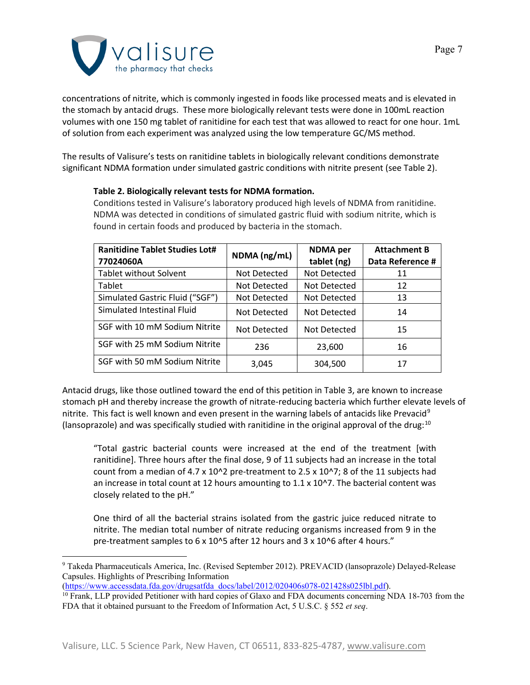

concentrations of nitrite, which is commonly ingested in foods like processed meats and is elevated in the stomach by antacid drugs. These more biologically relevant tests were done in 100mL reaction volumes with one 150 mg tablet of ranitidine for each test that was allowed to react for one hour. 1mL of solution from each experiment was analyzed using the low temperature GC/MS method.

The results of Valisure's tests on ranitidine tablets in biologically relevant conditions demonstrate significant NDMA formation under simulated gastric conditions with nitrite present (see Table 2).

## **Table 2. Biologically relevant tests for NDMA formation.**

Conditions tested in Valisure's laboratory produced high levels of NDMA from ranitidine. NDMA was detected in conditions of simulated gastric fluid with sodium nitrite, which is found in certain foods and produced by bacteria in the stomach.

| <b>Ranitidine Tablet Studies Lot#</b><br>77024060A | NDMA (ng/mL) | <b>NDMA</b> per<br>tablet (ng) | <b>Attachment B</b><br>Data Reference # |
|----------------------------------------------------|--------------|--------------------------------|-----------------------------------------|
| <b>Tablet without Solvent</b>                      | Not Detected | Not Detected                   | 11                                      |
| Tablet                                             | Not Detected | Not Detected                   | 12                                      |
| Simulated Gastric Fluid ("SGF")                    | Not Detected | Not Detected                   | 13                                      |
| Simulated Intestinal Fluid                         | Not Detected | Not Detected                   | 14                                      |
| SGF with 10 mM Sodium Nitrite                      | Not Detected | Not Detected                   | 15                                      |
| SGF with 25 mM Sodium Nitrite                      | 236          | 23,600                         | 16                                      |
| SGF with 50 mM Sodium Nitrite                      | 3,045        | 304,500                        | 17                                      |

Antacid drugs, like those outlined toward the end of this petition in Table 3, are known to increase stomach pH and thereby increase the growth of nitrate-reducing bacteria which further elevate levels of nitrite. This fact is well known and even present in the warning labels of antacids like Prevacid<sup>[9](#page-6-0)</sup> (lansoprazole) and was specifically studied with ranitidine in the original approval of the drug:[10](#page-6-1)

"Total gastric bacterial counts were increased at the end of the treatment [with ranitidine]. Three hours after the final dose, 9 of 11 subjects had an increase in the total count from a median of  $4.7 \times 10^{2}$  pre-treatment to 2.5 x 10<sup> $2$ </sup>; 8 of the 11 subjects had an increase in total count at 12 hours amounting to 1.1 x 10^7. The bacterial content was closely related to the pH."

One third of all the bacterial strains isolated from the gastric juice reduced nitrate to nitrite. The median total number of nitrate reducing organisms increased from 9 in the pre-treatment samples to 6 x 10^5 after 12 hours and 3 x 10^6 after 4 hours."

[\(https://www.accessdata.fda.gov/drugsatfda\\_docs/label/2012/020406s078-021428s025lbl.pdf\)](https://www.accessdata.fda.gov/drugsatfda_docs/label/2012/020406s078-021428s025lbl.pdf).

<span id="page-6-0"></span><sup>9</sup> Takeda Pharmaceuticals America, Inc. (Revised September 2012). PREVACID (lansoprazole) Delayed-Release Capsules. Highlights of Prescribing Information

<span id="page-6-1"></span> $10$  Frank, LLP provided Petitioner with hard copies of Glaxo and FDA documents concerning NDA 18-703 from the FDA that it obtained pursuant to the Freedom of Information Act, 5 U.S.C. § 552 *et seq*.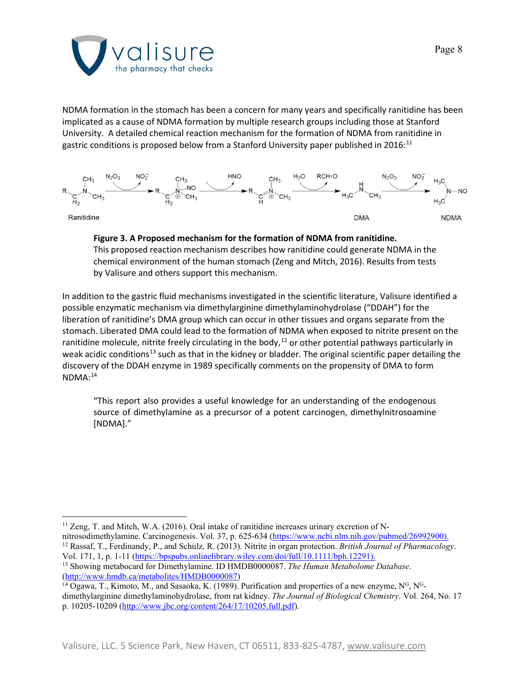

NDMA formation in the stomach has been a concern for many years and specifically ranitidine has been implicated as a cause of NDMA formation by multiple research groups including those at Stanford University. A detailed chemical reaction mechanism for the formation of NDMA from ranitidine in gastric conditions is proposed below from a Stanford University paper published in 2016:<sup>[11](#page-7-0)</sup>



#### **Figure 3. A Proposed mechanism for the formation of NDMA from ranitidine.**

This proposed reaction mechanism describes how ranitidine could generate NDMA in the chemical environment of the human stomach (Zeng and Mitch, 2016). Results from tests by Valisure and others support this mechanism.

In addition to the gastric fluid mechanisms investigated in the scientific literature, Valisure identified a possible enzymatic mechanism via dimethylarginine dimethylaminohydrolase ("DDAH") for the liberation of ranitidine's DMA group which can occur in other tissues and organs separate from the stomach. Liberated DMA could lead to the formation of NDMA when exposed to nitrite present on the ranitidine molecule, nitrite freely circulating in the body, $^{12}$  $^{12}$  $^{12}$  or other potential pathways particularly in weak acidic conditions<sup>[13](#page-7-2)</sup> such as that in the kidney or bladder. The original scientific paper detailing the discovery of the DDAH enzyme in 1989 specifically comments on the propensity of DMA to form NDMA: [14](#page-7-3)

"This report also provides a useful knowledge for an understanding of the endogenous source of dimethylamine as a precursor of a potent carcinogen, dimethylnitrosoamine [NDMA]."

<span id="page-7-0"></span><sup>&</sup>lt;sup>11</sup> Zeng, T. and Mitch, W.A. (2016). Oral intake of ranitidine increases urinary excretion of Nnitrosodimethylamine. Carcinogenesis. Vol. 37, p. 625-634 [\(https://www.ncbi.nlm.nih.gov/pubmed/26992900\)](https://www.ncbi.nlm.nih.gov/pubmed/26992900).

<span id="page-7-1"></span><sup>12</sup> Rassaf, T., Ferdinandy, P., and Schulz, R. (2013). Nitrite in organ protection. *British Journal of Pharmacology*. Vol. 171, 1, p. 1-11 [\(https://bpspubs.onlinelibrary.wiley.com/doi/full/10.1111/bph.12291\)](https://bpspubs.onlinelibrary.wiley.com/doi/full/10.1111/bph.12291). <sup>13</sup> Showing metabocard for Dimethylamine. ID HMDB0000087. *The Human Metabolome Database*.

<span id="page-7-2"></span>[<sup>\(</sup>http://www.hmdb.ca/metabolites/HMDB0000087\)](http://www.hmdb.ca/metabolites/HMDB0000087)

<span id="page-7-3"></span> $^{14}$  Ogawa, T., Kimoto, M., and Sasaoka, K. (1989). Purification and properties of a new enzyme, N<sup>G</sup>, N<sup>G</sup>dimethylarginine dimethylaminohydrolase, from rat kidney. *The Journal of Biological Chemistry*. Vol. 264, No. 17 p. 10205-10209 [\(http://www.jbc.org/content/264/17/10205.full.pdf\)](http://www.jbc.org/content/264/17/10205.full.pdf).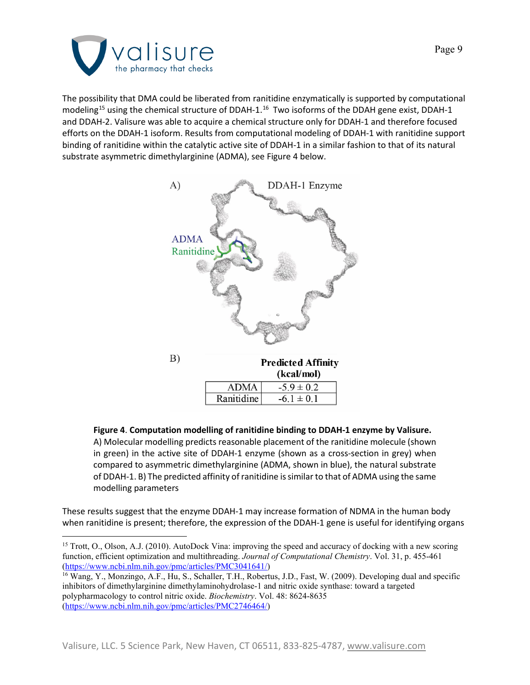

The possibility that DMA could be liberated from ranitidine enzymatically is supported by computational modeling<sup>[15](#page-8-0)</sup> using the chemical structure of DDAH-1.<sup>16</sup> Two isoforms of the DDAH gene exist, DDAH-1 and DDAH-2. Valisure was able to acquire a chemical structure only for DDAH-1 and therefore focused efforts on the DDAH-1 isoform. Results from computational modeling of DDAH-1 with ranitidine support binding of ranitidine within the catalytic active site of DDAH-1 in a similar fashion to that of its natural substrate asymmetric dimethylarginine (ADMA), see Figure 4 below.



**Figure 4**. **Computation modelling of ranitidine binding to DDAH-1 enzyme by Valisure.** A) Molecular modelling predicts reasonable placement of the ranitidine molecule (shown in green) in the active site of DDAH-1 enzyme (shown as a cross-section in grey) when compared to asymmetric dimethylarginine (ADMA, shown in blue), the natural substrate of DDAH-1. B) The predicted affinity of ranitidine is similar to that of ADMA using the same modelling parameters

These results suggest that the enzyme DDAH-1 may increase formation of NDMA in the human body when ranitidine is present; therefore, the expression of the DDAH-1 gene is useful for identifying organs

<span id="page-8-0"></span><sup>&</sup>lt;sup>15</sup> Trott, O., Olson, A.J. (2010). AutoDock Vina: improving the speed and accuracy of docking with a new scoring function, efficient optimization and multithreading. *Journal of Computational Chemistry*. Vol. 31, p. 455-461 [\(https://www.ncbi.nlm.nih.gov/pmc/articles/PMC3041641/\)](https://www.ncbi.nlm.nih.gov/pmc/articles/PMC3041641/)

<span id="page-8-1"></span><sup>&</sup>lt;sup>16</sup> Wang, Y., Monzingo, A.F., Hu, S., Schaller, T.H., Robertus, J.D., Fast, W. (2009). Developing dual and specific inhibitors of dimethylarginine dimethylaminohydrolase-1 and nitric oxide synthase: toward a targeted polypharmacology to control nitric oxide. *Biochemistry*. Vol. 48: 8624-8635 [\(https://www.ncbi.nlm.nih.gov/pmc/articles/PMC2746464/\)](https://www.ncbi.nlm.nih.gov/pmc/articles/PMC2746464/)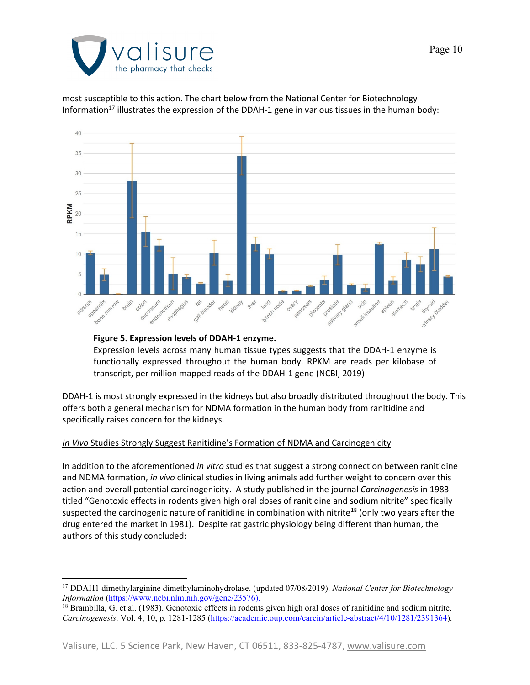

most susceptible to this action. The chart below from the National Center for Biotechnology Information<sup>[17](#page-9-0)</sup> illustrates the expression of the DDAH-1 gene in various tissues in the human body:



#### **Figure 5. Expression levels of DDAH-1 enzyme.**

Expression levels across many human tissue types suggests that the DDAH-1 enzyme is functionally expressed throughout the human body. RPKM are reads per kilobase of transcript, per million mapped reads of the DDAH-1 gene (NCBI, 2019)

DDAH-1 is most strongly expressed in the kidneys but also broadly distributed throughout the body. This offers both a general mechanism for NDMA formation in the human body from ranitidine and specifically raises concern for the kidneys.

#### *In Vivo* Studies Strongly Suggest Ranitidine's Formation of NDMA and Carcinogenicity

In addition to the aforementioned *in vitro* studies that suggest a strong connection between ranitidine and NDMA formation, *in vivo* clinical studies in living animals add further weight to concern over this action and overall potential carcinogenicity. A study published in the journal *Carcinogenesis* in 1983 titled "Genotoxic effects in rodents given high oral doses of ranitidine and sodium nitrite" specifically suspected the carcinogenic nature of ranitidine in combination with nitrite<sup>18</sup> (only two years after the drug entered the market in 1981). Despite rat gastric physiology being different than human, the authors of this study concluded:

<span id="page-9-0"></span><sup>17</sup> DDAH1 dimethylarginine dimethylaminohydrolase. (updated 07/08/2019). *National Center for Biotechnology Information* [\(https://www.ncbi.nlm.nih.gov/gene/23576\)](https://www.ncbi.nlm.nih.gov/gene/23576).

<span id="page-9-1"></span><sup>&</sup>lt;sup>18</sup> Brambilla, G. et al. (1983). Genotoxic effects in rodents given high oral doses of ranitidine and sodium nitrite. *Carcinogenesis*. Vol. 4, 10, p. 1281-1285 [\(https://academic.oup.com/carcin/article-abstract/4/10/1281/2391364\)](https://academic.oup.com/carcin/article-abstract/4/10/1281/2391364).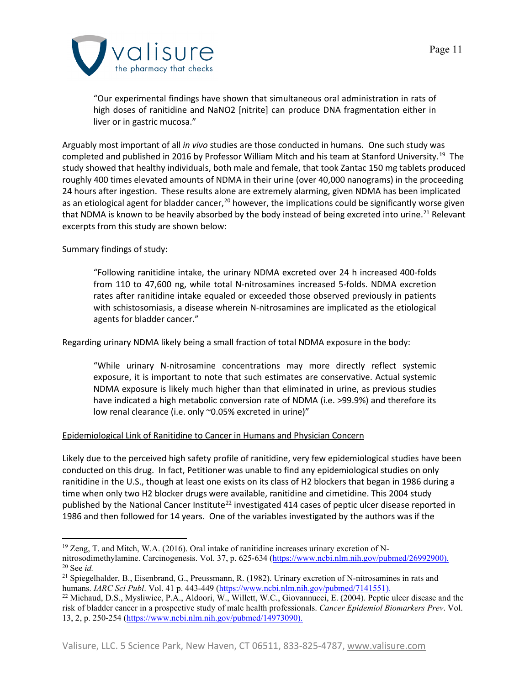

"Our experimental findings have shown that simultaneous oral administration in rats of high doses of ranitidine and NaNO2 [nitrite] can produce DNA fragmentation either in liver or in gastric mucosa."

Arguably most important of all *in vivo* studies are those conducted in humans. One such study was completed and published in 2016 by Professor William Mitch and his team at Stanford University. [19](#page-10-0) The study showed that healthy individuals, both male and female, that took Zantac 150 mg tablets produced roughly 400 times elevated amounts of NDMA in their urine (over 40,000 nanograms) in the proceeding 24 hours after ingestion. These results alone are extremely alarming, given NDMA has been implicated as an etiological agent for bladder cancer,<sup>[20](#page-10-1)</sup> however, the implications could be significantly worse given that NDMA is known to be heavily absorbed by the body instead of being excreted into urine.<sup>21</sup> Relevant excerpts from this study are shown below:

Summary findings of study:

"Following ranitidine intake, the urinary NDMA excreted over 24 h increased 400-folds from 110 to 47,600 ng, while total N-nitrosamines increased 5-folds. NDMA excretion rates after ranitidine intake equaled or exceeded those observed previously in patients with schistosomiasis, a disease wherein N-nitrosamines are implicated as the etiological agents for bladder cancer."

Regarding urinary NDMA likely being a small fraction of total NDMA exposure in the body:

"While urinary N-nitrosamine concentrations may more directly reflect systemic exposure, it is important to note that such estimates are conservative. Actual systemic NDMA exposure is likely much higher than that eliminated in urine, as previous studies have indicated a high metabolic conversion rate of NDMA (i.e. >99.9%) and therefore its low renal clearance (i.e. only ~0.05% excreted in urine)"

## Epidemiological Link of Ranitidine to Cancer in Humans and Physician Concern

Likely due to the perceived high safety profile of ranitidine, very few epidemiological studies have been conducted on this drug. In fact, Petitioner was unable to find any epidemiological studies on only ranitidine in the U.S., though at least one exists on its class of H2 blockers that began in 1986 during a time when only two H2 blocker drugs were available, ranitidine and cimetidine. This 2004 study published by the National Cancer Institute<sup>[22](#page-10-3)</sup> investigated 414 cases of peptic ulcer disease reported in 1986 and then followed for 14 years. One of the variables investigated by the authors was if the

<span id="page-10-0"></span> $19$  Zeng, T. and Mitch, W.A. (2016). Oral intake of ranitidine increases urinary excretion of N-

<span id="page-10-1"></span>nitrosodimethylamine. Carcinogenesis. Vol. 37, p. 625-634 [\(https://www.ncbi.nlm.nih.gov/pubmed/26992900\)](https://www.ncbi.nlm.nih.gov/pubmed/26992900). <sup>20</sup> See *id.*

<span id="page-10-2"></span><sup>&</sup>lt;sup>21</sup> Spiegelhalder, B., Eisenbrand, G., Preussmann, R. (1982). Urinary excretion of N-nitrosamines in rats and humans. *IARC Sci Publ*. Vol. 41 p. 443-449 [\(https://www.ncbi.nlm.nih.gov/pubmed/7141551\)](https://www.ncbi.nlm.nih.gov/pubmed/7141551).

<span id="page-10-3"></span><sup>22</sup> Michaud, D.S., Mysliwiec, P.A., Aldoori, W., Willett, W.C., Giovannucci, E. (2004). Peptic ulcer disease and the risk of bladder cancer in a prospective study of male health professionals. *Cancer Epidemiol Biomarkers Prev*. Vol. 13, 2, p. 250-254 [\(https://www.ncbi.nlm.nih.gov/pubmed/14973090\)](https://www.ncbi.nlm.nih.gov/pubmed/14973090).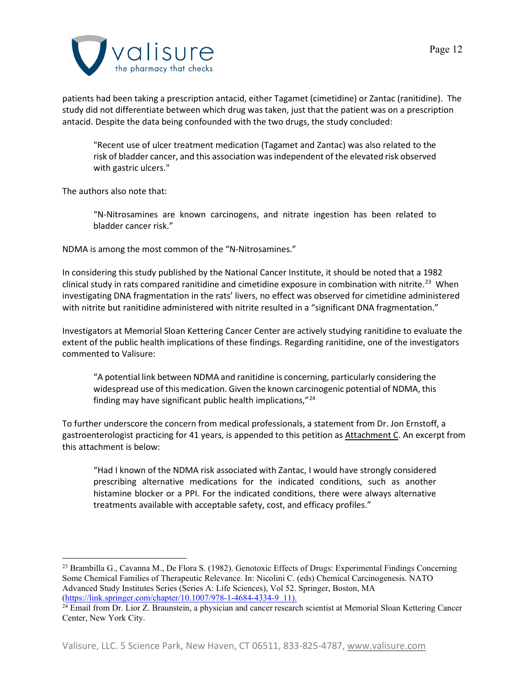

patients had been taking a prescription antacid, either Tagamet (cimetidine) or Zantac (ranitidine). The study did not differentiate between which drug was taken, just that the patient was on a prescription antacid. Despite the data being confounded with the two drugs, the study concluded:

"Recent use of ulcer treatment medication (Tagamet and Zantac) was also related to the risk of bladder cancer, and this association was independent of the elevated risk observed with gastric ulcers."

The authors also note that:

"N-Nitrosamines are known carcinogens, and nitrate ingestion has been related to bladder cancer risk."

NDMA is among the most common of the "N-Nitrosamines."

In considering this study published by the National Cancer Institute, it should be noted that a 1982 clinical study in rats compared ranitidine and cimetidine exposure in combination with nitrite. [23](#page-11-0) When investigating DNA fragmentation in the rats' livers, no effect was observed for cimetidine administered with nitrite but ranitidine administered with nitrite resulted in a "significant DNA fragmentation."

Investigators at Memorial Sloan Kettering Cancer Center are actively studying ranitidine to evaluate the extent of the public health implications of these findings. Regarding ranitidine, one of the investigators commented to Valisure:

"A potential link between NDMA and ranitidine is concerning, particularly considering the widespread use of this medication. Given the known carcinogenic potential of NDMA, this finding may have significant public health implications,"[24](#page-11-1)

To further underscore the concern from medical professionals, a statement from Dr. Jon Ernstoff, a gastroenterologist practicing for 41 years, is appended to this petition as Attachment C. An excerpt from this attachment is below:

"Had I known of the NDMA risk associated with Zantac, I would have strongly considered prescribing alternative medications for the indicated conditions, such as another histamine blocker or a PPI. For the indicated conditions, there were always alternative treatments available with acceptable safety, cost, and efficacy profiles."

<span id="page-11-0"></span><sup>&</sup>lt;sup>23</sup> Brambilla G., Cavanna M., De Flora S. (1982). Genotoxic Effects of Drugs: Experimental Findings Concerning Some Chemical Families of Therapeutic Relevance. In: Nicolini C. (eds) Chemical Carcinogenesis. NATO Advanced Study Institutes Series (Series A: Life Sciences), Vol 52. Springer, Boston, MA (https://link.springer.com/chapter/10.1007/978-1-4684-4334-9 11).

<span id="page-11-1"></span><sup>&</sup>lt;sup>24</sup> Email from Dr. Lior Z. Braunstein, a physician and cancer research scientist at Memorial Sloan Kettering Cancer Center, New York City.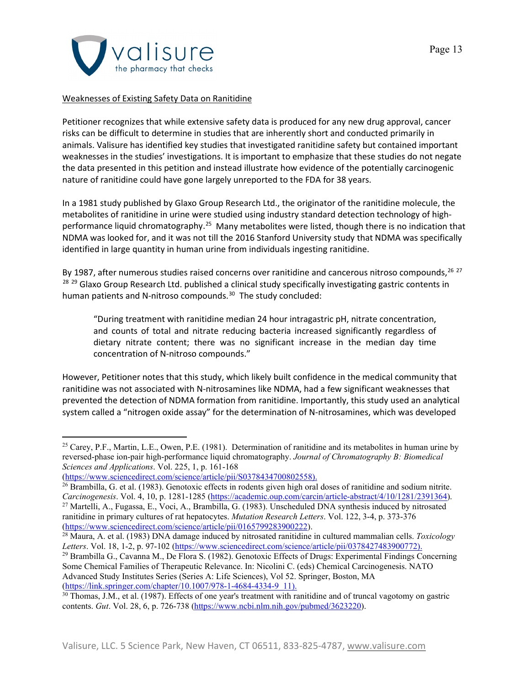

### Weaknesses of Existing Safety Data on Ranitidine

Petitioner recognizes that while extensive safety data is produced for any new drug approval, cancer risks can be difficult to determine in studies that are inherently short and conducted primarily in animals. Valisure has identified key studies that investigated ranitidine safety but contained important weaknesses in the studies' investigations. It is important to emphasize that these studies do not negate the data presented in this petition and instead illustrate how evidence of the potentially carcinogenic nature of ranitidine could have gone largely unreported to the FDA for 38 years.

In a 1981 study published by Glaxo Group Research Ltd., the originator of the ranitidine molecule, the metabolites of ranitidine in urine were studied using industry standard detection technology of highperformance liquid chromatography.<sup>25</sup> Many metabolites were listed, though there is no indication that NDMA was looked for, and it was not till the 2016 Stanford University study that NDMA was specifically identified in large quantity in human urine from individuals ingesting ranitidine.

By 1987, after numerous studies raised concerns over ranitidine and cancerous nitroso compounds,  $^{26}$  $^{26}$  $^{26}$   $^{27}$  $^{27}$  $^{27}$ <sup>[28](#page-12-3) [29](#page-12-4)</sup> Glaxo Group Research Ltd. published a clinical study specifically investigating gastric contents in human patients and N-nitroso compounds.<sup>30</sup> The study concluded:

"During treatment with ranitidine median 24 hour intragastric pH, nitrate concentration, and counts of total and nitrate reducing bacteria increased significantly regardless of dietary nitrate content; there was no significant increase in the median day time concentration of N-nitroso compounds."

However, Petitioner notes that this study, which likely built confidence in the medical community that ranitidine was not associated with N-nitrosamines like NDMA, had a few significant weaknesses that prevented the detection of NDMA formation from ranitidine. Importantly, this study used an analytical system called a "nitrogen oxide assay" for the determination of N-nitrosamines, which was developed

<span id="page-12-0"></span><sup>&</sup>lt;sup>25</sup> Carey, P.F., Martin, L.E., Owen, P.E. (1981). Determination of ranitidine and its metabolites in human urine by reversed-phase ion-pair high-performance liquid chromatography. *Journal of Chromatography B: Biomedical Sciences and Applications*. Vol. 225, 1, p. 161-168

[<sup>\(</sup>https://www.sciencedirect.com/science/article/pii/S0378434700802558\)](https://www.sciencedirect.com/science/article/pii/S0378434700802558).

<span id="page-12-1"></span><sup>26</sup> Brambilla, G. et al. (1983). Genotoxic effects in rodents given high oral doses of ranitidine and sodium nitrite. *Carcinogenesis*. Vol. 4, 10, p. 1281-1285 [\(https://academic.oup.com/carcin/article-abstract/4/10/1281/2391364\)](https://academic.oup.com/carcin/article-abstract/4/10/1281/2391364).

<span id="page-12-2"></span><sup>27</sup> Martelli, A., Fugassa, E., Voci, A., Brambilla, G. (1983). Unscheduled DNA synthesis induced by nitrosated ranitidine in primary cultures of rat hepatocytes. *Mutation Research Letters*. Vol. 122, 3-4, p. 373-376 [\(https://www.sciencedirect.com/science/article/pii/0165799283900222\)](https://www.sciencedirect.com/science/article/pii/0165799283900222).

<span id="page-12-3"></span><sup>28</sup> Maura, A. et al. (1983) DNA damage induced by nitrosated ranitidine in cultured mammalian cells. *Toxicology Letters*. Vol. 18, 1-2, p. 97-102 [\(https://www.sciencedirect.com/science/article/pii/0378427483900772\)](https://www.sciencedirect.com/science/article/pii/0378427483900772).

<span id="page-12-4"></span><sup>&</sup>lt;sup>29</sup> Brambilla G., Cavanna M., De Flora S. (1982). Genotoxic Effects of Drugs: Experimental Findings Concerning Some Chemical Families of Therapeutic Relevance. In: Nicolini C. (eds) Chemical Carcinogenesis. NATO Advanced Study Institutes Series (Series A: Life Sciences), Vol 52. Springer, Boston, MA [\(https://link.springer.com/chapter/10.1007/978-1-4684-4334-9\\_11\)](https://link.springer.com/chapter/10.1007/978-1-4684-4334-9_11).

<span id="page-12-5"></span><sup>&</sup>lt;sup>30</sup> Thomas, J.M., et al. (1987). Effects of one year's treatment with ranitidine and of truncal vagotomy on gastric contents. *Gut*. Vol. 28, 6, p. 726-738 [\(https://www.ncbi.nlm.nih.gov/pubmed/3623220\)](https://www.ncbi.nlm.nih.gov/pubmed/3623220).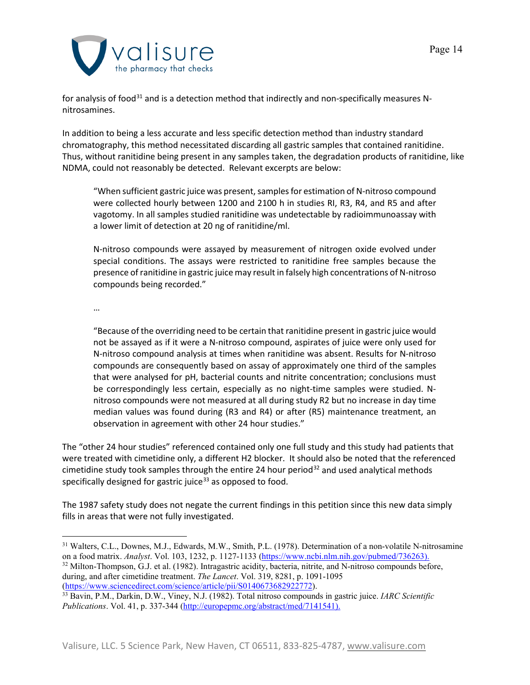

for analysis of food<sup>[31](#page-13-0)</sup> and is a detection method that indirectly and non-specifically measures Nnitrosamines.

In addition to being a less accurate and less specific detection method than industry standard chromatography, this method necessitated discarding all gastric samples that contained ranitidine. Thus, without ranitidine being present in any samples taken, the degradation products of ranitidine, like NDMA, could not reasonably be detected. Relevant excerpts are below:

"When sufficient gastric juice was present, samples for estimation of N-nitroso compound were collected hourly between 1200 and 2100 h in studies RI, R3, R4, and R5 and after vagotomy. In all samples studied ranitidine was undetectable by radioimmunoassay with a lower limit of detection at 20 ng of ranitidine/ml.

N-nitroso compounds were assayed by measurement of nitrogen oxide evolved under special conditions. The assays were restricted to ranitidine free samples because the presence of ranitidine in gastric juice may result in falsely high concentrations of N-nitroso compounds being recorded."

…

"Because of the overriding need to be certain that ranitidine present in gastric juice would not be assayed as if it were a N-nitroso compound, aspirates of juice were only used for N-nitroso compound analysis at times when ranitidine was absent. Results for N-nitroso compounds are consequently based on assay of approximately one third of the samples that were analysed for pH, bacterial counts and nitrite concentration; conclusions must be correspondingly less certain, especially as no night-time samples were studied. Nnitroso compounds were not measured at all during study R2 but no increase in day time median values was found during (R3 and R4) or after (R5) maintenance treatment, an observation in agreement with other 24 hour studies."

The "other 24 hour studies" referenced contained only one full study and this study had patients that were treated with cimetidine only, a different H2 blocker. It should also be noted that the referenced cimetidine study took samples through the entire 24 hour period<sup>[32](#page-13-1)</sup> and used analytical methods specifically designed for gastric juice<sup>[33](#page-13-2)</sup> as opposed to food.

The 1987 safety study does not negate the current findings in this petition since this new data simply fills in areas that were not fully investigated.

<span id="page-13-1"></span><span id="page-13-0"></span><sup>31</sup> Walters, C.L., Downes, M.J., Edwards, M.W., Smith, P.L. (1978). Determination of a non-volatile N-nitrosamine on a food matrix. *Analyst*. Vol. 103, 1232, p. 1127-1133 [\(https://www.ncbi.nlm.nih.gov/pubmed/736263\)](https://www.ncbi.nlm.nih.gov/pubmed/736263). <sup>32</sup> Milton-Thompson, G.J. et al. (1982). Intragastric acidity, bacteria, nitrite, and N-nitroso compounds before, during, and after cimetidine treatment. *The Lancet*. Vol. 319, 8281, p. 1091-1095 [\(https://www.sciencedirect.com/science/article/pii/S0140673682922772\)](https://www.sciencedirect.com/science/article/pii/S0140673682922772).

<span id="page-13-2"></span><sup>33</sup> Bavin, P.M., Darkin, D.W., Viney, N.J. (1982). Total nitroso compounds in gastric juice. *IARC Scientific Publications*. Vol. 41, p. 337-344 [\(http://europepmc.org/abstract/med/7141541\)](http://europepmc.org/abstract/med/7141541).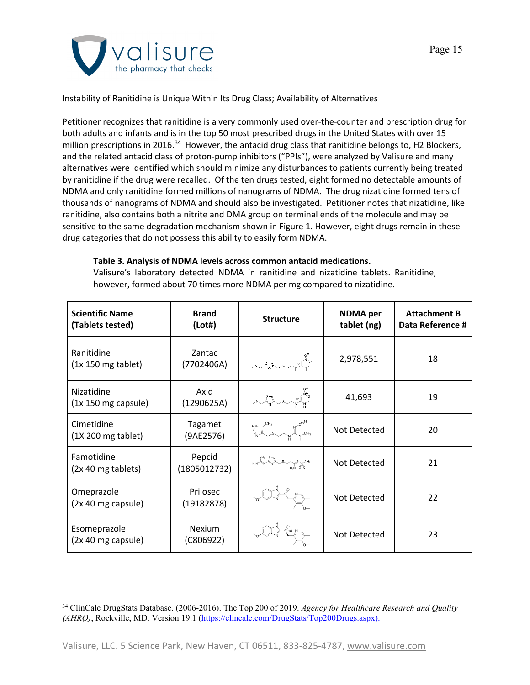

# Instability of Ranitidine is Unique Within Its Drug Class; Availability of Alternatives

Petitioner recognizes that ranitidine is a very commonly used over-the-counter and prescription drug for both adults and infants and is in the top 50 most prescribed drugs in the United States with over 15 million prescriptions in 2016.<sup>[34](#page-14-0)</sup> However, the antacid drug class that ranitidine belongs to, H2 Blockers, and the related antacid class of proton-pump inhibitors ("PPIs"), were analyzed by Valisure and many alternatives were identified which should minimize any disturbances to patients currently being treated by ranitidine if the drug were recalled. Of the ten drugs tested, eight formed no detectable amounts of NDMA and only ranitidine formed millions of nanograms of NDMA. The drug nizatidine formed tens of thousands of nanograms of NDMA and should also be investigated. Petitioner notes that nizatidine, like ranitidine, also contains both a nitrite and DMA group on terminal ends of the molecule and may be sensitive to the same degradation mechanism shown in Figure 1. However, eight drugs remain in these drug categories that do not possess this ability to easily form NDMA.

## **Table 3. Analysis of NDMA levels across common antacid medications.**

Valisure's laboratory detected NDMA in ranitidine and nizatidine tablets. Ranitidine, however, formed about 70 times more NDMA per mg compared to nizatidine.

| <b>Scientific Name</b><br>(Tablets tested) | <b>Brand</b><br>(Lot#)     | <b>Structure</b>                                                                                                                                   | <b>NDMA</b> per<br>tablet (ng) | <b>Attachment B</b><br>Data Reference # |
|--------------------------------------------|----------------------------|----------------------------------------------------------------------------------------------------------------------------------------------------|--------------------------------|-----------------------------------------|
| Ranitidine<br>$(1x 150 mg$ tablet)         | Zantac<br>(7702406A)       |                                                                                                                                                    | 2,978,551                      | 18                                      |
| Nizatidine<br>$(1x 150 mg$ capsule)        | Axid<br>(1290625A)         | $M_{\text{max}}^{\text{sp}}$                                                                                                                       | 41,693                         | 19                                      |
| Cimetidine<br>$(1X 200 mg$ tablet)         | Tagamet<br>(9AE2576)       | $\begin{array}{ccc}\nH_N & & N & C^{\text{max}} \\ N & & N & C^{\text{max}} \\ \hline\n\end{array}$                                                | Not Detected                   | 20                                      |
| Famotidine<br>(2x 40 mg tablets)           | Pepcid<br>(1805012732)     | $R_{2N}$ $\rightarrow$ $R_{3N}$ $\rightarrow$ $R_{3N}$ $\rightarrow$ $R_{3N}$ $\rightarrow$ $R_{3N}$ $\rightarrow$ $R_{3N}$ $\rightarrow$ $R_{3N}$ | Not Detected                   | 21                                      |
| Omeprazole<br>(2x 40 mg capsule)           | Prilosec<br>(19182878)     |                                                                                                                                                    | Not Detected                   | 22                                      |
| Esomeprazole<br>(2x 40 mg capsule)         | <b>Nexium</b><br>(C806922) |                                                                                                                                                    | Not Detected                   | 23                                      |

<span id="page-14-0"></span><sup>34</sup> ClinCalc DrugStats Database. (2006-2016). The Top 200 of 2019. *Agency for Healthcare Research and Quality (AHRQ)*, Rockville, MD. Version 19.1 [\(https://clincalc.com/DrugStats/Top200Drugs.aspx\)](https://clincalc.com/DrugStats/Top200Drugs.aspx).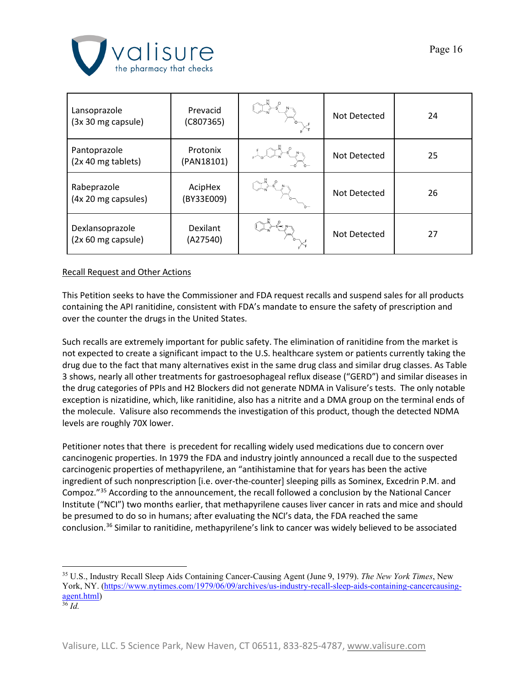

| Lansoprazole<br>(3x 30 mg capsule)    | Prevacid<br>(C807365)  | Not Detected | 24 |
|---------------------------------------|------------------------|--------------|----|
| Pantoprazole<br>(2x 40 mg tablets)    | Protonix<br>(PAN18101) | Not Detected | 25 |
| Rabeprazole<br>(4x 20 mg capsules)    | AcipHex<br>(BY33E009)  | Not Detected | 26 |
| Dexlansoprazole<br>(2x 60 mg capsule) | Dexilant<br>(A27540)   | Not Detected | 27 |

## Recall Request and Other Actions

This Petition seeks to have the Commissioner and FDA request recalls and suspend sales for all products containing the API ranitidine, consistent with FDA's mandate to ensure the safety of prescription and over the counter the drugs in the United States.

Such recalls are extremely important for public safety. The elimination of ranitidine from the market is not expected to create a significant impact to the U.S. healthcare system or patients currently taking the drug due to the fact that many alternatives exist in the same drug class and similar drug classes. As Table 3 shows, nearly all other treatments for gastroesophageal reflux disease ("GERD") and similar diseases in the drug categories of PPIs and H2 Blockers did not generate NDMA in Valisure's tests. The only notable exception is nizatidine, which, like ranitidine, also has a nitrite and a DMA group on the terminal ends of the molecule. Valisure also recommends the investigation of this product, though the detected NDMA levels are roughly 70X lower.

Petitioner notes that there is precedent for recalling widely used medications due to concern over cancinogenic properties. In 1979 the FDA and industry jointly announced a recall due to the suspected carcinogenic properties of methapyrilene, an "antihistamine that for years has been the active ingredient of such nonprescription [i.e. over-the-counter] sleeping pills as Sominex, Excedrin P.M. and Compoz."[35](#page-15-0) According to the announcement, the recall followed a conclusion by the National Cancer Institute ("NCI") two months earlier, that methapyrilene causes liver cancer in rats and mice and should be presumed to do so in humans; after evaluating the NCI's data, the FDA reached the same conclusion.[36](#page-15-1) Similar to ranitidine, methapyrilene's link to cancer was widely believed to be associated

<span id="page-15-0"></span><sup>35</sup> U.S., Industry Recall Sleep Aids Containing Cancer‐Causing Agent (June 9, 1979). *The New York Times*, New York, NY. [\(https://www.nytimes.com/1979/06/09/archives/us-industry-recall-sleep-aids-containing-cancercausing](https://www.nytimes.com/1979/06/09/archives/us-industry-recall-sleep-aids-containing-cancercausing-agent.html)[agent.html\)](https://www.nytimes.com/1979/06/09/archives/us-industry-recall-sleep-aids-containing-cancercausing-agent.html)

<span id="page-15-1"></span><sup>36</sup> *Id.*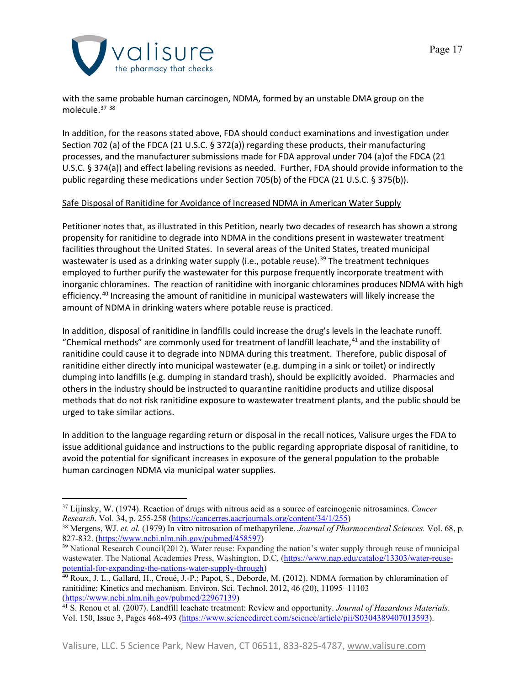

with the same probable human carcinogen, NDMA, formed by an unstable DMA group on the molecule. [37](#page-16-0) [38](#page-16-1)

In addition, for the reasons stated above, FDA should conduct examinations and investigation under Section 702 (a) of the FDCA (21 U.S.C. § 372(a)) regarding these products, their manufacturing processes, and the manufacturer submissions made for FDA approval under 704 (a)of the FDCA (21 U.S.C. § 374(a)) and effect labeling revisions as needed. Further, FDA should provide information to the public regarding these medications under Section 705(b) of the FDCA (21 U.S.C. § 375(b)).

## Safe Disposal of Ranitidine for Avoidance of Increased NDMA in American Water Supply

Petitioner notes that, as illustrated in this Petition, nearly two decades of research has shown a strong propensity for ranitidine to degrade into NDMA in the conditions present in wastewater treatment facilities throughout the United States. In several areas of the United States, treated municipal wastewater is used as a drinking water supply (i.e., potable reuse).<sup>[39](#page-16-2)</sup> The treatment techniques employed to further purify the wastewater for this purpose frequently incorporate treatment with inorganic chloramines. The reaction of ranitidine with inorganic chloramines produces NDMA with high efficiency. [40](#page-16-3) Increasing the amount of ranitidine in municipal wastewaters will likely increase the amount of NDMA in drinking waters where potable reuse is practiced.

In addition, disposal of ranitidine in landfills could increase the drug's levels in the leachate runoff. "Chemical methods" are commonly used for treatment of landfill leachate, $41$  and the instability of ranitidine could cause it to degrade into NDMA during this treatment. Therefore, public disposal of ranitidine either directly into municipal wastewater (e.g. dumping in a sink or toilet) or indirectly dumping into landfills (e.g. dumping in standard trash), should be explicitly avoided. Pharmacies and others in the industry should be instructed to quarantine ranitidine products and utilize disposal methods that do not risk ranitidine exposure to wastewater treatment plants, and the public should be urged to take similar actions.

In addition to the language regarding return or disposal in the recall notices, Valisure urges the FDA to issue additional guidance and instructions to the public regarding appropriate disposal of ranitidine, to avoid the potential for significant increases in exposure of the general population to the probable human carcinogen NDMA via municipal water supplies.

<span id="page-16-0"></span><sup>37</sup> Lijinsky, W. (1974). Reaction of drugs with nitrous acid as a source of carcinogenic nitrosamines. *Cancer Research*. Vol. 34, p. 255-258 [\(https://cancerres.aacrjournals.org/content/34/1/255\)](https://cancerres.aacrjournals.org/content/34/1/255)

<span id="page-16-1"></span><sup>38</sup> Mergens, WJ. *et. al.* (1979) In vitro nitrosation of methapyrilene. *Journal of Pharmaceutical Sciences.* Vol. 68, p. 827-832. [\(https://www.ncbi.nlm.nih.gov/pubmed/458597\)](https://www.ncbi.nlm.nih.gov/pubmed/458597)

<span id="page-16-2"></span><sup>&</sup>lt;sup>39</sup> National Research Council(2012). Water reuse: Expanding the nation's water supply through reuse of municipal wastewater. The National Academies Press, Washington, D.C. [\(https://www.nap.edu/catalog/13303/water-reuse](https://www.nap.edu/catalog/13303/water-reuse-potential-for-expanding-the-nations-water-supply-through)[potential-for-expanding-the-nations-water-supply-through\)](https://www.nap.edu/catalog/13303/water-reuse-potential-for-expanding-the-nations-water-supply-through)

<span id="page-16-3"></span><sup>40</sup> Roux, J. L., Gallard, H., Croué, J.-P.; Papot, S., Deborde, M. (2012). NDMA formation by chloramination of ranitidine: Kinetics and mechanism. Environ. Sci. Technol. 2012, 46 (20), 11095−11103<br>(https://www.ncbi.nlm.nih.gov/pubmed/22967139)

<span id="page-16-4"></span><sup>&</sup>lt;sup>41</sup> S. Renou et al. (2007). Landfill leachate treatment: Review and opportunity. *Journal of Hazardous Materials*. Vol. 150, Issue 3, Pages 468-493 [\(https://www.sciencedirect.com/science/article/pii/S0304389407013593\)](https://www.sciencedirect.com/science/article/pii/S0304389407013593).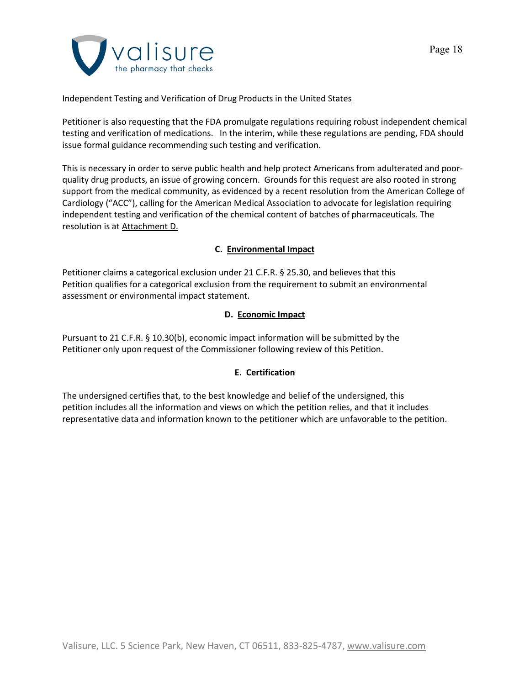

## Independent Testing and Verification of Drug Products in the United States

Petitioner is also requesting that the FDA promulgate regulations requiring robust independent chemical testing and verification of medications. In the interim, while these regulations are pending, FDA should issue formal guidance recommending such testing and verification.

This is necessary in order to serve public health and help protect Americans from adulterated and poorquality drug products, an issue of growing concern. Grounds for this request are also rooted in strong support from the medical community, as evidenced by a recent resolution from the American College of Cardiology ("ACC"), calling for the American Medical Association to advocate for legislation requiring independent testing and verification of the chemical content of batches of pharmaceuticals. The resolution is at Attachment D.

## **C. Environmental Impact**

Petitioner claims a categorical exclusion under 21 C.F.R. § 25.30, and believes that this Petition qualifies for a categorical exclusion from the requirement to submit an environmental assessment or environmental impact statement.

## **D. Economic Impact**

Pursuant to 21 C.F.R. § 10.30(b), economic impact information will be submitted by the Petitioner only upon request of the Commissioner following review of this Petition.

# **E. Certification**

The undersigned certifies that, to the best knowledge and belief of the undersigned, this petition includes all the information and views on which the petition relies, and that it includes representative data and information known to the petitioner which are unfavorable to the petition.